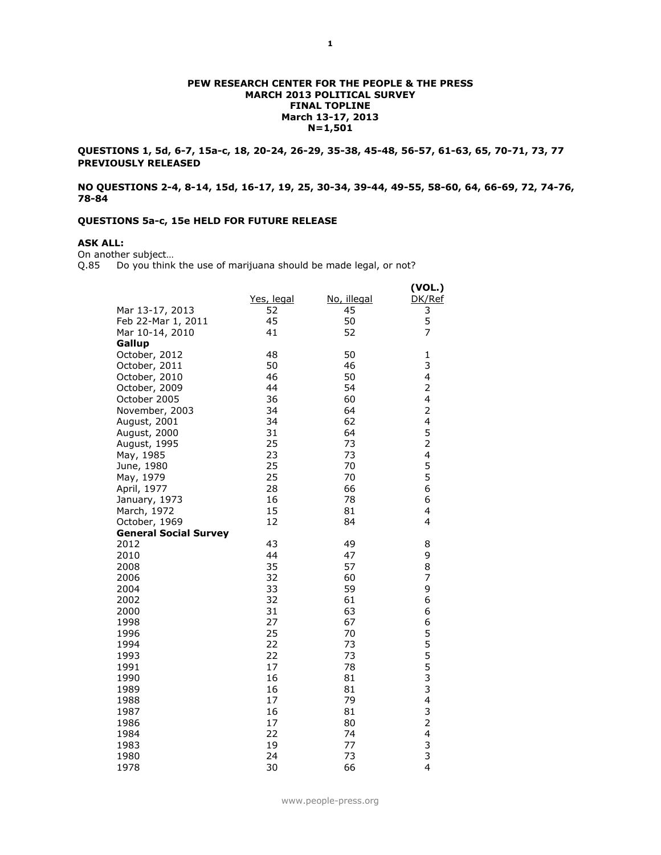#### **PEW RESEARCH CENTER FOR THE PEOPLE & THE PRESS MARCH 2013 POLITICAL SURVEY FINAL TOPLINE March 13-17, 2013 N=1,501**

**QUESTIONS 1, 5d, 6-7, 15a-c, 18, 20-24, 26-29, 35-38, 45-48, 56-57, 61-63, 65, 70-71, 73, 77 PREVIOUSLY RELEASED**

**NO QUESTIONS 2-4, 8-14, 15d, 16-17, 19, 25, 30-34, 39-44, 49-55, 58-60, 64, 66-69, 72, 74-76, 78-84**

## **QUESTIONS 5a-c, 15e HELD FOR FUTURE RELEASE**

# **ASK ALL:**

On another subject…

Q.85 Do you think the use of marijuana should be made legal, or not?

| DK/Ref<br>Yes, legal<br>No, illegal<br>Mar 13-17, 2013<br>3<br>52<br>45<br>5<br>45<br>Feb 22-Mar 1, 2011<br>50<br>7<br>Mar 10-14, 2010<br>41<br>52<br>Gallup<br>October, 2012<br>48<br>50<br>$\mathbf{1}$<br>3<br>50<br>46<br>October, 2011<br>4<br>46<br>50<br>October, 2010<br>$\overline{2}$<br>44<br>54<br>October, 2009<br>4<br>36<br>October 2005<br>60<br>$\overline{2}$<br>34<br>64<br>November, 2003<br>4<br>34<br>62<br>August, 2001<br>5<br>31<br>64<br>August, 2000<br>$\overline{2}$<br>25<br>73<br>August, 1995<br>4<br>23<br>73<br>May, 1985<br>5<br>25<br>70<br>June, 1980<br>5<br>25<br>70<br>May, 1979<br>6<br>28<br>April, 1977<br>66<br>6<br>78<br>January, 1973<br>16<br>4<br>15<br>81<br>March, 1972<br>4<br>October, 1969<br>12<br>84<br><b>General Social Survey</b><br>43<br>2012<br>49<br>8<br>9<br>44<br>47<br>2010<br>35<br>8<br>57<br>2008<br>7<br>2006<br>32<br>60<br>9<br>33<br>2004<br>59<br>32<br>6<br>61<br>2002<br>6<br>31<br>63<br>2000<br>27<br>6<br>67<br>1998<br>555333<br>25<br>1996<br>70<br>22<br>1994<br>73<br>22<br>73<br>1993<br>17<br>78<br>1991<br>16<br>81<br>1990<br>16<br>81<br>1989<br>4<br>17<br>79<br>1988<br>3<br>16<br>81<br>1987<br>$\overline{2}$<br>17<br>1986<br>80 |  | (VOL.) |
|--------------------------------------------------------------------------------------------------------------------------------------------------------------------------------------------------------------------------------------------------------------------------------------------------------------------------------------------------------------------------------------------------------------------------------------------------------------------------------------------------------------------------------------------------------------------------------------------------------------------------------------------------------------------------------------------------------------------------------------------------------------------------------------------------------------------------------------------------------------------------------------------------------------------------------------------------------------------------------------------------------------------------------------------------------------------------------------------------------------------------------------------------------------------------------------------------------------------------------|--|--------|
|                                                                                                                                                                                                                                                                                                                                                                                                                                                                                                                                                                                                                                                                                                                                                                                                                                                                                                                                                                                                                                                                                                                                                                                                                                |  |        |
|                                                                                                                                                                                                                                                                                                                                                                                                                                                                                                                                                                                                                                                                                                                                                                                                                                                                                                                                                                                                                                                                                                                                                                                                                                |  |        |
|                                                                                                                                                                                                                                                                                                                                                                                                                                                                                                                                                                                                                                                                                                                                                                                                                                                                                                                                                                                                                                                                                                                                                                                                                                |  |        |
|                                                                                                                                                                                                                                                                                                                                                                                                                                                                                                                                                                                                                                                                                                                                                                                                                                                                                                                                                                                                                                                                                                                                                                                                                                |  |        |
|                                                                                                                                                                                                                                                                                                                                                                                                                                                                                                                                                                                                                                                                                                                                                                                                                                                                                                                                                                                                                                                                                                                                                                                                                                |  |        |
|                                                                                                                                                                                                                                                                                                                                                                                                                                                                                                                                                                                                                                                                                                                                                                                                                                                                                                                                                                                                                                                                                                                                                                                                                                |  |        |
|                                                                                                                                                                                                                                                                                                                                                                                                                                                                                                                                                                                                                                                                                                                                                                                                                                                                                                                                                                                                                                                                                                                                                                                                                                |  |        |
|                                                                                                                                                                                                                                                                                                                                                                                                                                                                                                                                                                                                                                                                                                                                                                                                                                                                                                                                                                                                                                                                                                                                                                                                                                |  |        |
|                                                                                                                                                                                                                                                                                                                                                                                                                                                                                                                                                                                                                                                                                                                                                                                                                                                                                                                                                                                                                                                                                                                                                                                                                                |  |        |
|                                                                                                                                                                                                                                                                                                                                                                                                                                                                                                                                                                                                                                                                                                                                                                                                                                                                                                                                                                                                                                                                                                                                                                                                                                |  |        |
|                                                                                                                                                                                                                                                                                                                                                                                                                                                                                                                                                                                                                                                                                                                                                                                                                                                                                                                                                                                                                                                                                                                                                                                                                                |  |        |
|                                                                                                                                                                                                                                                                                                                                                                                                                                                                                                                                                                                                                                                                                                                                                                                                                                                                                                                                                                                                                                                                                                                                                                                                                                |  |        |
|                                                                                                                                                                                                                                                                                                                                                                                                                                                                                                                                                                                                                                                                                                                                                                                                                                                                                                                                                                                                                                                                                                                                                                                                                                |  |        |
|                                                                                                                                                                                                                                                                                                                                                                                                                                                                                                                                                                                                                                                                                                                                                                                                                                                                                                                                                                                                                                                                                                                                                                                                                                |  |        |
|                                                                                                                                                                                                                                                                                                                                                                                                                                                                                                                                                                                                                                                                                                                                                                                                                                                                                                                                                                                                                                                                                                                                                                                                                                |  |        |
|                                                                                                                                                                                                                                                                                                                                                                                                                                                                                                                                                                                                                                                                                                                                                                                                                                                                                                                                                                                                                                                                                                                                                                                                                                |  |        |
|                                                                                                                                                                                                                                                                                                                                                                                                                                                                                                                                                                                                                                                                                                                                                                                                                                                                                                                                                                                                                                                                                                                                                                                                                                |  |        |
|                                                                                                                                                                                                                                                                                                                                                                                                                                                                                                                                                                                                                                                                                                                                                                                                                                                                                                                                                                                                                                                                                                                                                                                                                                |  |        |
|                                                                                                                                                                                                                                                                                                                                                                                                                                                                                                                                                                                                                                                                                                                                                                                                                                                                                                                                                                                                                                                                                                                                                                                                                                |  |        |
|                                                                                                                                                                                                                                                                                                                                                                                                                                                                                                                                                                                                                                                                                                                                                                                                                                                                                                                                                                                                                                                                                                                                                                                                                                |  |        |
|                                                                                                                                                                                                                                                                                                                                                                                                                                                                                                                                                                                                                                                                                                                                                                                                                                                                                                                                                                                                                                                                                                                                                                                                                                |  |        |
|                                                                                                                                                                                                                                                                                                                                                                                                                                                                                                                                                                                                                                                                                                                                                                                                                                                                                                                                                                                                                                                                                                                                                                                                                                |  |        |
|                                                                                                                                                                                                                                                                                                                                                                                                                                                                                                                                                                                                                                                                                                                                                                                                                                                                                                                                                                                                                                                                                                                                                                                                                                |  |        |
|                                                                                                                                                                                                                                                                                                                                                                                                                                                                                                                                                                                                                                                                                                                                                                                                                                                                                                                                                                                                                                                                                                                                                                                                                                |  |        |
|                                                                                                                                                                                                                                                                                                                                                                                                                                                                                                                                                                                                                                                                                                                                                                                                                                                                                                                                                                                                                                                                                                                                                                                                                                |  |        |
|                                                                                                                                                                                                                                                                                                                                                                                                                                                                                                                                                                                                                                                                                                                                                                                                                                                                                                                                                                                                                                                                                                                                                                                                                                |  |        |
|                                                                                                                                                                                                                                                                                                                                                                                                                                                                                                                                                                                                                                                                                                                                                                                                                                                                                                                                                                                                                                                                                                                                                                                                                                |  |        |
|                                                                                                                                                                                                                                                                                                                                                                                                                                                                                                                                                                                                                                                                                                                                                                                                                                                                                                                                                                                                                                                                                                                                                                                                                                |  |        |
|                                                                                                                                                                                                                                                                                                                                                                                                                                                                                                                                                                                                                                                                                                                                                                                                                                                                                                                                                                                                                                                                                                                                                                                                                                |  |        |
|                                                                                                                                                                                                                                                                                                                                                                                                                                                                                                                                                                                                                                                                                                                                                                                                                                                                                                                                                                                                                                                                                                                                                                                                                                |  |        |
|                                                                                                                                                                                                                                                                                                                                                                                                                                                                                                                                                                                                                                                                                                                                                                                                                                                                                                                                                                                                                                                                                                                                                                                                                                |  |        |
|                                                                                                                                                                                                                                                                                                                                                                                                                                                                                                                                                                                                                                                                                                                                                                                                                                                                                                                                                                                                                                                                                                                                                                                                                                |  |        |
|                                                                                                                                                                                                                                                                                                                                                                                                                                                                                                                                                                                                                                                                                                                                                                                                                                                                                                                                                                                                                                                                                                                                                                                                                                |  |        |
|                                                                                                                                                                                                                                                                                                                                                                                                                                                                                                                                                                                                                                                                                                                                                                                                                                                                                                                                                                                                                                                                                                                                                                                                                                |  |        |
|                                                                                                                                                                                                                                                                                                                                                                                                                                                                                                                                                                                                                                                                                                                                                                                                                                                                                                                                                                                                                                                                                                                                                                                                                                |  |        |
|                                                                                                                                                                                                                                                                                                                                                                                                                                                                                                                                                                                                                                                                                                                                                                                                                                                                                                                                                                                                                                                                                                                                                                                                                                |  |        |
|                                                                                                                                                                                                                                                                                                                                                                                                                                                                                                                                                                                                                                                                                                                                                                                                                                                                                                                                                                                                                                                                                                                                                                                                                                |  |        |
|                                                                                                                                                                                                                                                                                                                                                                                                                                                                                                                                                                                                                                                                                                                                                                                                                                                                                                                                                                                                                                                                                                                                                                                                                                |  |        |
| 4<br>22<br>74<br>1984                                                                                                                                                                                                                                                                                                                                                                                                                                                                                                                                                                                                                                                                                                                                                                                                                                                                                                                                                                                                                                                                                                                                                                                                          |  |        |
| 19<br>77<br>1983                                                                                                                                                                                                                                                                                                                                                                                                                                                                                                                                                                                                                                                                                                                                                                                                                                                                                                                                                                                                                                                                                                                                                                                                               |  |        |
| $\frac{3}{3}$<br>24<br>1980<br>73                                                                                                                                                                                                                                                                                                                                                                                                                                                                                                                                                                                                                                                                                                                                                                                                                                                                                                                                                                                                                                                                                                                                                                                              |  |        |
| $\overline{4}$<br>30<br>1978<br>66                                                                                                                                                                                                                                                                                                                                                                                                                                                                                                                                                                                                                                                                                                                                                                                                                                                                                                                                                                                                                                                                                                                                                                                             |  |        |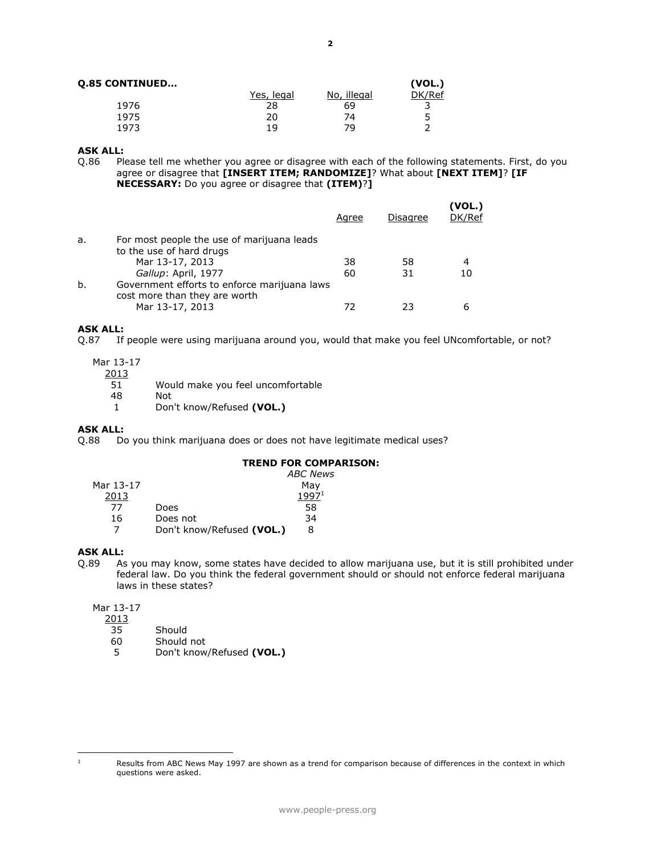|  | <b>Q.85 CONTINUED</b> |  |
|--|-----------------------|--|
|--|-----------------------|--|

| <b>Q.85 CONTINUED</b> |            |             | (VOL.) |
|-----------------------|------------|-------------|--------|
|                       | Yes, legal | No, illegal | DK/Ref |
| 1976                  | 28         | 69          |        |
| 1975                  | 20         | 74          |        |
| 1973                  | 1 Q        | 79          |        |

## **ASK ALL:**

Q.86 Please tell me whether you agree or disagree with each of the following statements. First, do you agree or disagree that **[INSERT ITEM; RANDOMIZE]**? What about **[NEXT ITEM]**? **[IF NECESSARY:** Do you agree or disagree that **(ITEM)**?**]**

|    |                                                                               | Agree | Disagree | (VOL.)<br>DK/Ref |
|----|-------------------------------------------------------------------------------|-------|----------|------------------|
| a. | For most people the use of marijuana leads                                    |       |          |                  |
|    | to the use of hard drugs                                                      |       |          |                  |
|    | Mar 13-17, 2013                                                               | 38    | 58       | 4                |
|    | Gallup: April, 1977                                                           | 60    | 31       |                  |
| b. | Government efforts to enforce marijuana laws<br>cost more than they are worth |       |          |                  |
|    | Mar 13-17, 2013                                                               | 77    | フ3       |                  |

# **ASK ALL:**<br>0.87 If

If people were using marijuana around you, would that make you feel UNcomfortable, or not?

Mar 13-17

| 2013 |                                   |
|------|-----------------------------------|
| 51   | Would make you feel uncomfortable |
| 48   | Not                               |
|      | Don't know/Refused (VOL.)         |

# **ASK ALL:**<br>Q.88 Do

Do you think marijuana does or does not have legitimate medical uses?

## **TREND FOR COMPARISON:**

|           |                           | <b>ABC News</b>   |
|-----------|---------------------------|-------------------|
| Mar 13-17 |                           | May               |
| 2013      |                           | 1997 <sup>1</sup> |
| 77        | Does                      | 58                |
| 16        | Does not                  | 34                |
|           | Don't know/Refused (VOL.) | 8                 |

# **ASK ALL:**

Q.89 As you may know, some states have decided to allow marijuana use, but it is still prohibited under federal law. Do you think the federal government should or should not enforce federal marijuana laws in these states?

### Mar 13-17

2013

- 35 Should<br>60 Should
- 60 Should not<br>5 Don't know
- 5 Don't know/Refused **(VOL.)**

 $\overline{a}$ 

 $1$  Results from ABC News May 1997 are shown as a trend for comparison because of differences in the context in which questions were asked.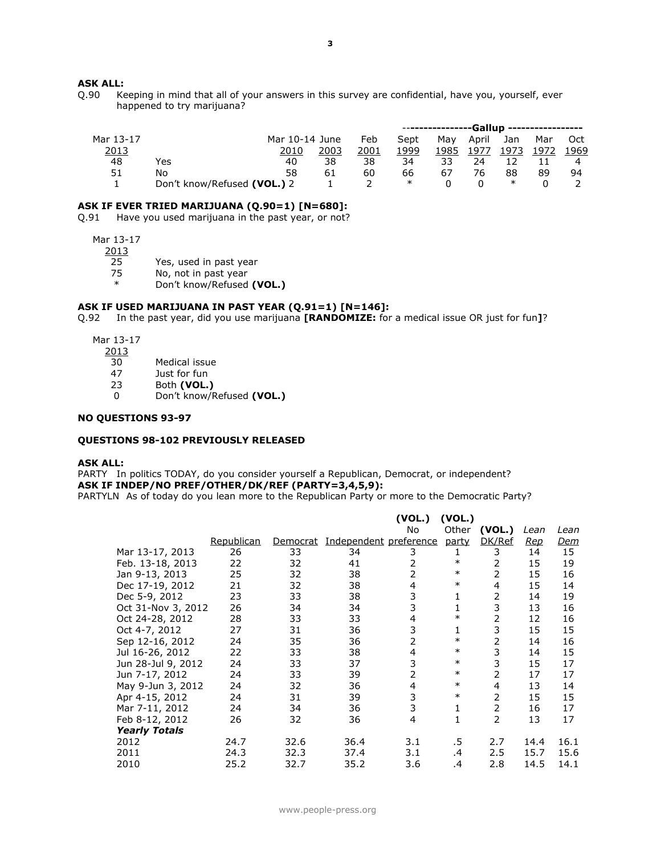# **ASK ALL:**<br>0.90 Ke

Keeping in mind that all of your answers in this survey are confidential, have you, yourself, ever happened to try marijuana?

|           |                             |                |      |      |        | ----------------Gallup ---------------- |       |        |      |      |
|-----------|-----------------------------|----------------|------|------|--------|-----------------------------------------|-------|--------|------|------|
| Mar 13-17 |                             | Mar 10-14 June |      | Feb  | Sept   | Mav                                     | April | Jan    | Mar  | Oct  |
| 2013      |                             | 2010           | 2003 | 2001 | 1999   | 1985                                    | 1977  | 1973   | 1972 | 1969 |
| 48        | Yes                         | 40             | 38   | 38   | 34     | 33                                      | 24    |        |      |      |
| 51        | No                          | 58             | 61   | 60   | 66     | 67                                      | 76    | 88     | 89   | 94   |
|           | Don't know/Refused (VOL.) 2 |                |      |      | $\ast$ |                                         |       | $\ast$ |      |      |

#### **ASK IF EVER TRIED MARIJUANA (Q.90=1) [N=680]:**

Q.91 Have you used marijuana in the past year, or not?

Mar 13-17

2013

25 Yes, used in past year

75 No, not in past year

\* Don't know/Refused **(VOL.)**

#### **ASK IF USED MARIJUANA IN PAST YEAR (Q.91=1) [N=146]:**

Q.92 In the past year, did you use marijuana **[RANDOMIZE:** for a medical issue OR just for fun**]**?

Mar 13-17

- $\frac{2013}{30}$ 
	- Medical issue
- 47 Just for fun
- 23 Both **(VOL.)**
- 0 Don't know/Refused **(VOL.)**

#### **NO QUESTIONS 93-97**

#### **QUESTIONS 98-102 PREVIOUSLY RELEASED**

#### **ASK ALL:**

PARTY In politics TODAY, do you consider yourself a Republican, Democrat, or independent? **ASK IF INDEP/NO PREF/OTHER/DK/REF (PARTY=3,4,5,9):**

PARTYLN As of today do you lean more to the Republican Party or more to the Democratic Party?

|                      |            |          |                        | (VOL.) | (VOL.) |        |            |            |
|----------------------|------------|----------|------------------------|--------|--------|--------|------------|------------|
|                      |            |          |                        | No     | Other  | (VOL.) | Lean       | Lean       |
|                      | Republican | Democrat | Independent preference |        | party  | DK/Ref | <u>Rep</u> | <u>Dem</u> |
| Mar 13-17, 2013      | 26         | 33       | 34                     | 3      |        | 3      | 14         | 15         |
| Feb. 13-18, 2013     | 22         | 32       | 41                     | 2      | $\ast$ | 2      | 15         | 19         |
| Jan 9-13, 2013       | 25         | 32       | 38                     | 2      | $\ast$ | 2      | 15         | 16         |
| Dec 17-19, 2012      | 21         | 32       | 38                     | 4      | $\ast$ | 4      | 15         | 14         |
| Dec 5-9, 2012        | 23         | 33       | 38                     | 3      | 1      | 2      | 14         | 19         |
| Oct 31-Nov 3, 2012   | 26         | 34       | 34                     | 3      | 1      | 3      | 13         | 16         |
| Oct 24-28, 2012      | 28         | 33       | 33                     | 4      | $\ast$ | 2      | 12         | 16         |
| Oct 4-7, 2012        | 27         | 31       | 36                     | 3      | 1      | 3      | 15         | 15         |
| Sep 12-16, 2012      | 24         | 35       | 36                     | 2      | $\ast$ | 2      | 14         | 16         |
| Jul 16-26, 2012      | 22         | 33       | 38                     | 4      | $\ast$ | 3      | 14         | 15         |
| Jun 28-Jul 9, 2012   | 24         | 33       | 37                     | 3      | $\ast$ | 3      | 15         | 17         |
| Jun 7-17, 2012       | 24         | 33       | 39                     | 2      | $\ast$ | 2      | 17         | 17         |
| May 9-Jun 3, 2012    | 24         | 32       | 36                     | 4      | $\ast$ | 4      | 13         | 14         |
| Apr 4-15, 2012       | 24         | 31       | 39                     | 3      | $\ast$ | 2      | 15         | 15         |
| Mar 7-11, 2012       | 24         | 34       | 36                     | 3      | 1      | 2      | 16         | 17         |
| Feb 8-12, 2012       | 26         | 32       | 36                     | 4      | 1      | 2      | 13         | 17         |
| <b>Yearly Totals</b> |            |          |                        |        |        |        |            |            |
| 2012                 | 24.7       | 32.6     | 36.4                   | 3.1    | .5     | 2.7    | 14.4       | 16.1       |
| 2011                 | 24.3       | 32.3     | 37.4                   | 3.1    | .4     | 2.5    | 15.7       | 15.6       |
| 2010                 | 25.2       | 32.7     | 35.2                   | 3.6    | .4     | 2.8    | 14.5       | 14.1       |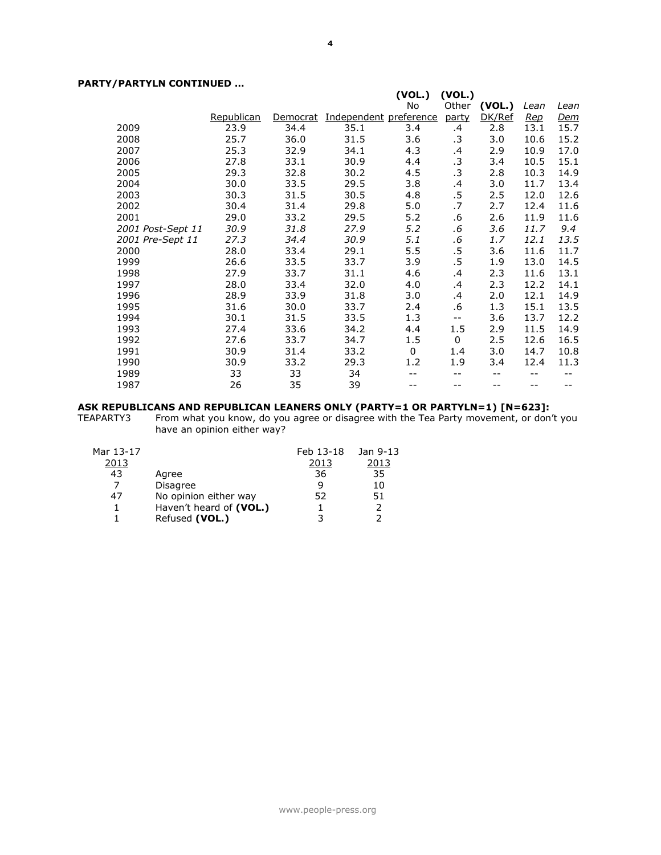## **PARTY/PARTYLN CONTINUED …**

|                   |            |          |                        | (VOL.)   | (VOL.)    |        |            |            |
|-------------------|------------|----------|------------------------|----------|-----------|--------|------------|------------|
|                   |            |          |                        | No       | Other     | (VOL.) | Lean       | Lean       |
|                   | Republican | Democrat | Independent preference |          | party     | DK/Ref | <u>Rep</u> | <u>Dem</u> |
| 2009              | 23.9       | 34.4     | 35.1                   | 3.4      | .4        | 2.8    | 13.1       | 15.7       |
| 2008              | 25.7       | 36.0     | 31.5                   | 3.6      | $\cdot$ 3 | 3.0    | 10.6       | 15.2       |
| 2007              | 25.3       | 32.9     | 34.1                   | 4.3      | .4        | 2.9    | 10.9       | 17.0       |
| 2006              | 27.8       | 33.1     | 30.9                   | 4.4      | $\cdot$ 3 | 3.4    | 10.5       | 15.1       |
| 2005              | 29.3       | 32.8     | 30.2                   | 4.5      | $\cdot$ 3 | 2.8    | 10.3       | 14.9       |
| 2004              | 30.0       | 33.5     | 29.5                   | 3.8      | .4        | 3.0    | 11.7       | 13.4       |
| 2003              | 30.3       | 31.5     | 30.5                   | 4.8      | $.5\,$    | 2.5    | 12.0       | 12.6       |
| 2002              | 30.4       | 31.4     | 29.8                   | 5.0      | .7        | 2.7    | 12.4       | 11.6       |
| 2001              | 29.0       | 33.2     | 29.5                   | 5.2      | .6        | 2.6    | 11.9       | 11.6       |
| 2001 Post-Sept 11 | 30.9       | 31.8     | 27.9                   | 5.2      | .6        | 3.6    | 11.7       | 9.4        |
| 2001 Pre-Sept 11  | 27.3       | 34.4     | 30.9                   | 5.1      | .6        | 1.7    | 12.1       | 13.5       |
| 2000              | 28.0       | 33.4     | 29.1                   | 5.5      | $.5\,$    | 3.6    | 11.6       | 11.7       |
| 1999              | 26.6       | 33.5     | 33.7                   | 3.9      | $.5\,$    | 1.9    | 13.0       | 14.5       |
| 1998              | 27.9       | 33.7     | 31.1                   | 4.6      | .4        | 2.3    | 11.6       | 13.1       |
| 1997              | 28.0       | 33.4     | 32.0                   | 4.0      | .4        | 2.3    | 12.2       | 14.1       |
| 1996              | 28.9       | 33.9     | 31.8                   | 3.0      | .4        | 2.0    | 12.1       | 14.9       |
| 1995              | 31.6       | 30.0     | 33.7                   | 2.4      | .6        | 1.3    | 15.1       | 13.5       |
| 1994              | 30.1       | 31.5     | 33.5                   | 1.3      | $- -$     | 3.6    | 13.7       | 12.2       |
| 1993              | 27.4       | 33.6     | 34.2                   | 4.4      | 1.5       | 2.9    | 11.5       | 14.9       |
| 1992              | 27.6       | 33.7     | 34.7                   | $1.5\,$  | $\Omega$  | 2.5    | 12.6       | 16.5       |
| 1991              | 30.9       | 31.4     | 33.2                   | $\Omega$ | 1.4       | 3.0    | 14.7       | 10.8       |
| 1990              | 30.9       | 33.2     | 29.3                   | 1.2      | 1.9       | 3.4    | 12.4       | 11.3       |
| 1989              | 33         | 33       | 34                     |          | --        | --     | --         | --         |
| 1987              | 26         | 35       | 39                     |          |           | --     |            |            |

#### **ASK REPUBLICANS AND REPUBLICAN LEANERS ONLY (PARTY=1 OR PARTYLN=1) [N=623]:**

TEAPARTY3 From what you know, do you agree or disagree with the Tea Party movement, or don't you have an opinion either way?

| Mar 13-17 |                         | Feb 13-18 | Jan 9-13      |
|-----------|-------------------------|-----------|---------------|
| 2013      |                         | 2013      | 2013          |
| 43        | Agree                   | 36        | 35            |
|           | <b>Disagree</b>         |           | 10            |
| 47        | No opinion either way   | 52        | 51            |
|           | Haven't heard of (VOL.) |           | $\mathcal{P}$ |
|           | Refused (VOL.)          |           |               |